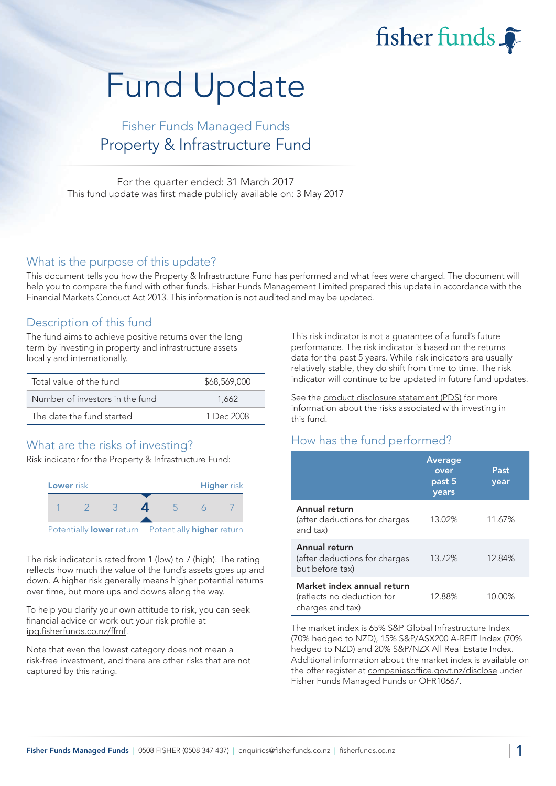fisher funds

# Fund Update

## Fisher Funds Managed Funds Property & Infrastructure Fund

For the quarter ended: 31 March 2017 This fund update was first made publicly available on: 3 May 2017

#### What is the purpose of this update?

This document tells you how the Property & Infrastructure Fund has performed and what fees were charged. The document will help you to compare the fund with other funds. Fisher Funds Management Limited prepared this update in accordance with the Financial Markets Conduct Act 2013. This information is not audited and may be updated.

## Description of this fund

The fund aims to achieve positive returns over the long term by investing in property and infrastructure assets locally and internationally.

| Total value of the fund         | \$68,569,000 |
|---------------------------------|--------------|
| Number of investors in the fund | 1.662        |
| The date the fund started       | 1 Dec $2008$ |

## What are the risks of investing?

Risk indicator for the Property & Infrastructure Fund:



The risk indicator is rated from 1 (low) to 7 (high). The rating reflects how much the value of the fund's assets goes up and down. A higher risk generally means higher potential returns over time, but more ups and downs along the way.

To help you clarify your own attitude to risk, you can seek financial advice or work out your risk profile at [ipq.fisherfunds.co.nz/ffmf.](https://ipq.fisherfunds.co.nz/ffmf)

Note that even the lowest category does not mean a risk-free investment, and there are other risks that are not captured by this rating.

This risk indicator is not a guarantee of a fund's future performance. The risk indicator is based on the returns data for the past 5 years. While risk indicators are usually relatively stable, they do shift from time to time. The risk indicator will continue to be updated in future fund updates.

See the [product disclosure statement \(PDS\)](https://fisherfunds.co.nz/assets/PDS/Fisher-Funds-Managed-Funds-PDS.pdf) for more information about the risks associated with investing in this fund.

## How has the fund performed?

|                                                                              | <b>Average</b><br>over<br>past 5<br>years | Past<br>year |
|------------------------------------------------------------------------------|-------------------------------------------|--------------|
| Annual return<br>(after deductions for charges<br>and tax)                   | 13.02%                                    | 11.67%       |
| Annual return<br>(after deductions for charges<br>but before tax)            | 13.72%                                    | 12.84%       |
| Market index annual return<br>(reflects no deduction for<br>charges and tax) | 12.88%                                    | 10.00%       |

The market index is 65% S&P Global Infrastructure Index (70% hedged to NZD), 15% S&P/ASX200 A-REIT Index (70% hedged to NZD) and 20% S&P/NZX All Real Estate Index. Additional information about the market index is available on the offer register at [companiesoffice.govt.nz/disclose](http://companiesoffice.govt.nz/disclose) under Fisher Funds Managed Funds or OFR10667.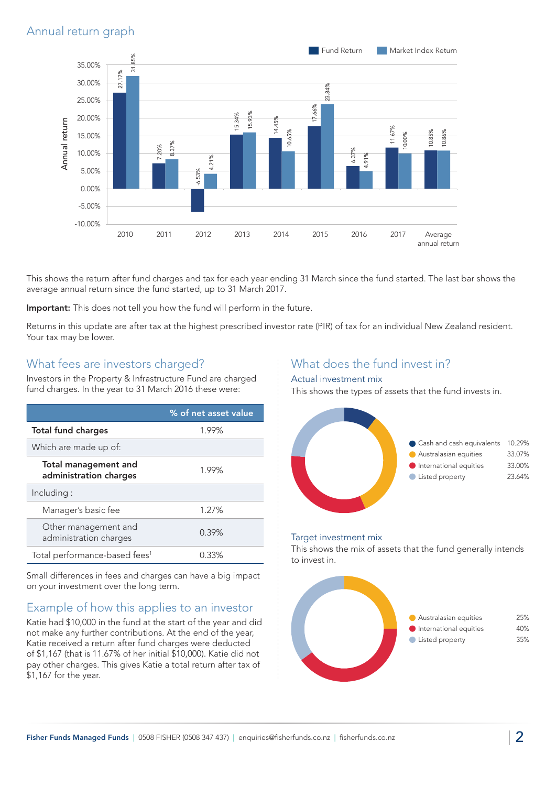

This shows the return after fund charges and tax for each year ending 31 March since the fund started. The last bar shows the average annual return since the fund started, up to 31 March 2017.

Important: This does not tell you how the fund will perform in the future.

Returns in this update are after tax at the highest prescribed investor rate (PIR) of tax for an individual New Zealand resident. Your tax may be lower.

### What fees are investors charged?

Investors in the Property & Infrastructure Fund are charged fund charges. In the year to 31 March 2016 these were:

|                                                       | % of net asset value |
|-------------------------------------------------------|----------------------|
| <b>Total fund charges</b>                             | 1.99%                |
| Which are made up of:                                 |                      |
| <b>Total management and</b><br>administration charges | 1.99%                |
| Including:                                            |                      |
| Manager's basic fee                                   | 1.27%                |
| Other management and<br>administration charges        | 0.39%                |
| Total performance-based fees <sup>1</sup>             | 0.33%                |

Small differences in fees and charges can have a big impact on your investment over the long term.

## Example of how this applies to an investor

Katie had \$10,000 in the fund at the start of the year and did not make any further contributions. At the end of the year, Katie received a return after fund charges were deducted of \$1,167 (that is 11.67% of her initial \$10,000). Katie did not pay other charges. This gives Katie a total return after tax of \$1,167 for the year.

## What does the fund invest in?

#### Actual investment mix

This shows the types of assets that the fund invests in.



#### Target investment mix

This shows the mix of assets that the fund generally intends to invest in.